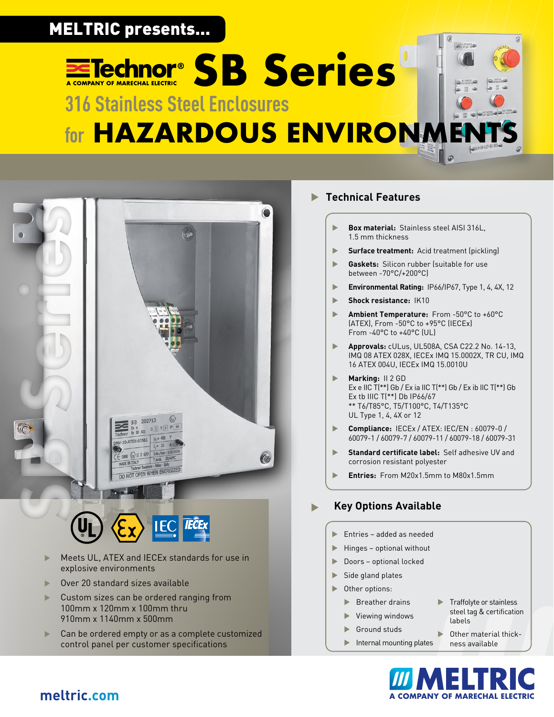## **Extechnor<sup>®</sup> SB Series** MELTRIC presents...

# **316 Stainless Steel Enclosures for HAZARDOUS ENVIRONME**



- Meets UL, ATEX and IECEx standards for use in
- explosive environments
- Over 20 standard sizes available
- Custom sizes can be ordered ranging from 100mm x 120mm x 100mm thru 910mm x 1140mm x 500mm
- **EXEC** Can be ordered empty or as a complete customized control panel per customer specifications

### **Technical Features**

- **Box material:** Stainless steel AISI 316L, 1.5 mm thickness
- **Surface treatment:** Acid treatment (pickling)
- **Gaskets:** Silicon rubber (suitable for use between -70°C/+200°C)
- **Environmental Rating: IP66/IP67, Type 1, 4, 4X, 12**
- **Shock resistance: IK10**
- ▶ **Ambient Temperature:** From -50°C to +60°C (ATEX), From -50°C to +95°C (IECEx) From -40°C to +40°C (UL)
- u **Approvals:** cULus, UL508A, CSA C22.2 No. 14-13, IMQ 08 ATEX 028X, IECEx IMQ 15.0002X, TR CU, IMQ 16 ATEX 004U, IECEx IMQ 15.0010U
- **Marking:** II 2 GD Ex e IIC T(\*\*) Gb / Ex ia IIC T(\*\*) Gb / Ex ib IIC T(\*\*) Gb Ex tb IIIC T(\*\*) Db IP66/67 \*\* T6/T85°C, T5/T100°C, T4/T135°C UL Type 1, 4, 4X or 12
- u **Compliance:** IECEx / ATEX: IEC/EN : 60079-0 / 60079-1 / 60079-7 / 60079-11 / 60079-18 / 60079-31
- **Standard certificate label:** Self adhesive UV and corrosion resistant polyester
- **Entries:** From M20x1.5mm to M80x1.5mm

### **Key Options Available**

- Entries added as needed
- $\blacktriangleright$  Hinges optional without
- $\blacktriangleright$  Doors optional locked
- $\blacktriangleright$  Side gland plates
- $\blacktriangleright$  Other options:
	- $\blacktriangleright$  Breather drains
	- $\blacktriangleright$  Viewing windows
	- $\blacktriangleright$  Ground studs
	- $\blacktriangleright$  Internal mounting plates
- $\blacktriangleright$  Traffolyte or stainless steel tag & certification labels
- Other material thickness available